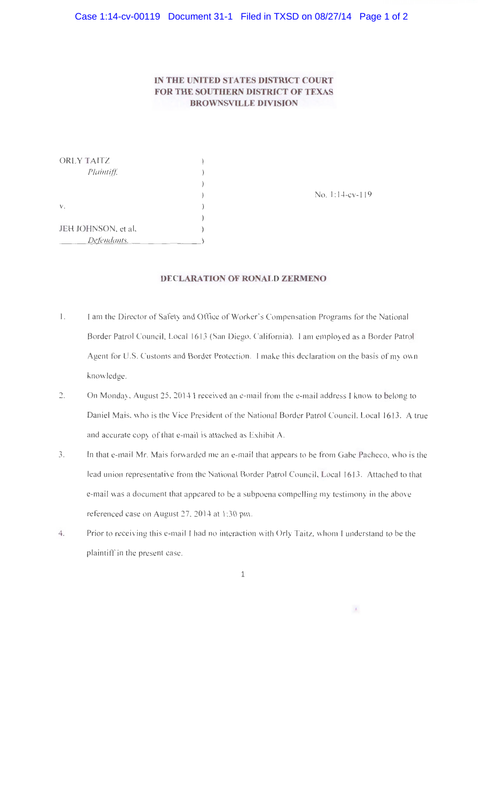## IN **THE UNITED STATES DISTRICT COURT FOR THE SOUTHERN DISTRICT OF TEXAS BROWNSVILLE DIVISION**

| ORLY TAITZ          |                       |
|---------------------|-----------------------|
| Plaintiff.          |                       |
|                     |                       |
|                     | No. $1:14$ -cv- $119$ |
| V.                  |                       |
|                     |                       |
| JEH JOHNSON, et al, |                       |
| Defendants.         |                       |

## **DECLARATION OF RONALD ZERMENO**

- 1. I am the Director of Safety and Office of Worker's Compensation Programs for the National Border Patrol Council, Local 1613 (San Diego, California). I am employed as a Border Patrol Agent for U.S. Customs and Border Protection. I make this declaration on the basis of my own knowledge.
- 2. On Monday, August 25, 2014 I received an e-mail from the e-mail address I know to belong to Daniel Mais, who is the Vice President of the National Border Patrol Council, Local 1613. A true and accurate copy of that e-mail is attached as Exhibit A.
- 3. In that e-mail Mr. Mais forwarded me an e-mail that appears to be from Gabe Pacheco, who is the lead union representative from the National Border Patrol Council, Local 1613. Attached to that e-mail was a document that appeared to be a subpoena compelling my testimony in the above referenced case on August 27, 2014 at 1:30 pm.
- 4. Prior to receiving this e-mail I had no interaction with Orly Taitz, whom I understand to be the plaintiff in the present case.

 $\mathcal{F}_\mathrm{c}$